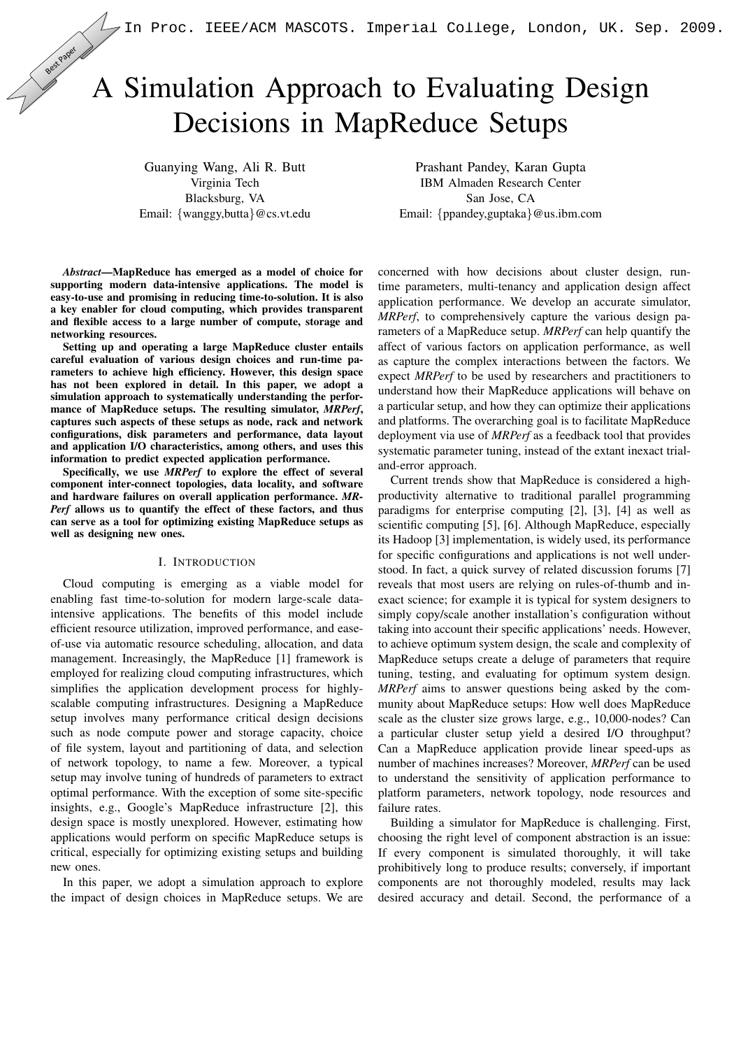In Proc. IEEE/ACM MASCOTS. Imperial College, London, UK. Sep. 2009.

# A Simulation Approach to Evaluating Design Decisions in MapReduce Setups

Guanying Wang, Ali R. Butt Virginia Tech Blacksburg, VA Email: {wanggy,butta}@cs.vt.edu

Best Paper

Prashant Pandey, Karan Gupta IBM Almaden Research Center San Jose, CA Email: {ppandey,guptaka}@us.ibm.com

*Abstract***—MapReduce has emerged as a model of choice for supporting modern data-intensive applications. The model is easy-to-use and promising in reducing time-to-solution. It is also a key enabler for cloud computing, which provides transparent and flexible access to a large number of compute, storage and networking resources.**

**Setting up and operating a large MapReduce cluster entails careful evaluation of various design choices and run-time parameters to achieve high efficiency. However, this design space has not been explored in detail. In this paper, we adopt a simulation approach to systematically understanding the performance of MapReduce setups. The resulting simulator,** *MRPerf***, captures such aspects of these setups as node, rack and network configurations, disk parameters and performance, data layout and application I/O characteristics, among others, and uses this information to predict expected application performance.**

**Specifically, we use** *MRPerf* **to explore the effect of several component inter-connect topologies, data locality, and software and hardware failures on overall application performance.** *MR-Perf* **allows us to quantify the effect of these factors, and thus can serve as a tool for optimizing existing MapReduce setups as well as designing new ones.**

#### I. INTRODUCTION

Cloud computing is emerging as a viable model for enabling fast time-to-solution for modern large-scale dataintensive applications. The benefits of this model include efficient resource utilization, improved performance, and easeof-use via automatic resource scheduling, allocation, and data management. Increasingly, the MapReduce [1] framework is employed for realizing cloud computing infrastructures, which simplifies the application development process for highlyscalable computing infrastructures. Designing a MapReduce setup involves many performance critical design decisions such as node compute power and storage capacity, choice of file system, layout and partitioning of data, and selection of network topology, to name a few. Moreover, a typical setup may involve tuning of hundreds of parameters to extract optimal performance. With the exception of some site-specific insights, e.g., Google's MapReduce infrastructure [2], this design space is mostly unexplored. However, estimating how applications would perform on specific MapReduce setups is critical, especially for optimizing existing setups and building new ones.

In this paper, we adopt a simulation approach to explore the impact of design choices in MapReduce setups. We are

concerned with how decisions about cluster design, runtime parameters, multi-tenancy and application design affect application performance. We develop an accurate simulator, *MRPerf*, to comprehensively capture the various design parameters of a MapReduce setup. *MRPerf* can help quantify the affect of various factors on application performance, as well as capture the complex interactions between the factors. We expect *MRPerf* to be used by researchers and practitioners to understand how their MapReduce applications will behave on a particular setup, and how they can optimize their applications and platforms. The overarching goal is to facilitate MapReduce deployment via use of *MRPerf* as a feedback tool that provides systematic parameter tuning, instead of the extant inexact trialand-error approach.

Current trends show that MapReduce is considered a highproductivity alternative to traditional parallel programming paradigms for enterprise computing [2], [3], [4] as well as scientific computing [5], [6]. Although MapReduce, especially its Hadoop [3] implementation, is widely used, its performance for specific configurations and applications is not well understood. In fact, a quick survey of related discussion forums [7] reveals that most users are relying on rules-of-thumb and inexact science; for example it is typical for system designers to simply copy/scale another installation's configuration without taking into account their specific applications' needs. However, to achieve optimum system design, the scale and complexity of MapReduce setups create a deluge of parameters that require tuning, testing, and evaluating for optimum system design. *MRPerf* aims to answer questions being asked by the community about MapReduce setups: How well does MapReduce scale as the cluster size grows large, e.g., 10,000-nodes? Can a particular cluster setup yield a desired I/O throughput? Can a MapReduce application provide linear speed-ups as number of machines increases? Moreover, *MRPerf* can be used to understand the sensitivity of application performance to platform parameters, network topology, node resources and failure rates.

Building a simulator for MapReduce is challenging. First, choosing the right level of component abstraction is an issue: If every component is simulated thoroughly, it will take prohibitively long to produce results; conversely, if important components are not thoroughly modeled, results may lack desired accuracy and detail. Second, the performance of a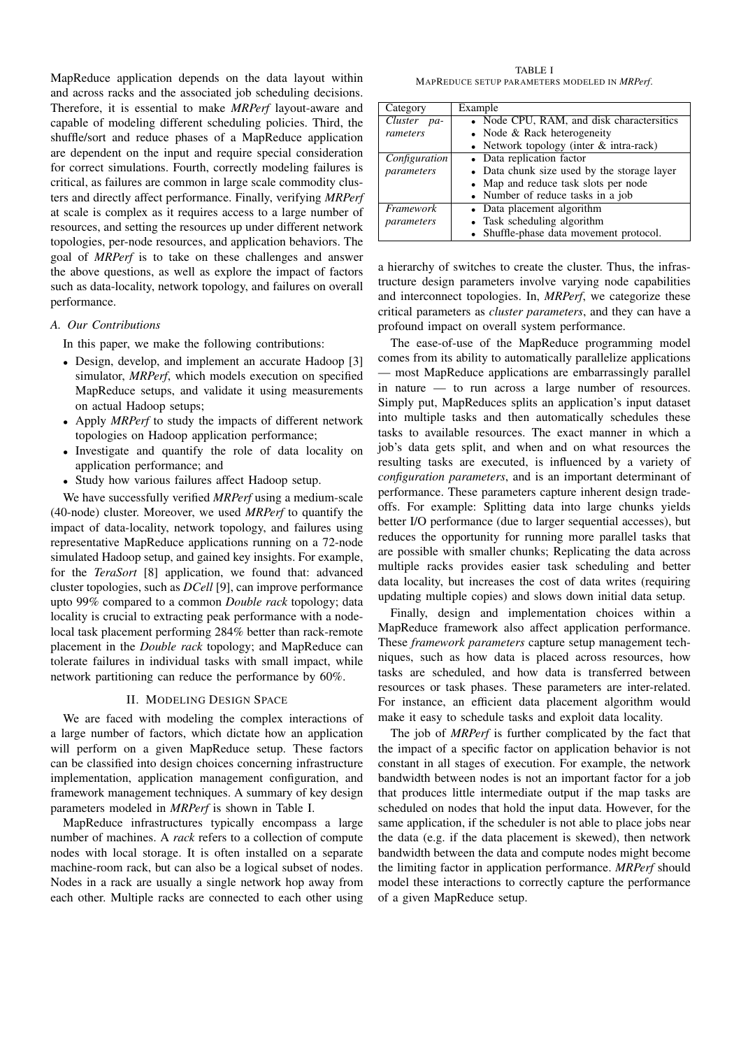MapReduce application depends on the data layout within and across racks and the associated job scheduling decisions. Therefore, it is essential to make *MRPerf* layout-aware and capable of modeling different scheduling policies. Third, the shuffle/sort and reduce phases of a MapReduce application are dependent on the input and require special consideration for correct simulations. Fourth, correctly modeling failures is critical, as failures are common in large scale commodity clusters and directly affect performance. Finally, verifying *MRPerf* at scale is complex as it requires access to a large number of resources, and setting the resources up under different network topologies, per-node resources, and application behaviors. The goal of *MRPerf* is to take on these challenges and answer the above questions, as well as explore the impact of factors such as data-locality, network topology, and failures on overall performance.

## *A. Our Contributions*

In this paper, we make the following contributions:

- Design, develop, and implement an accurate Hadoop [3] simulator, *MRPerf*, which models execution on specified MapReduce setups, and validate it using measurements on actual Hadoop setups;
- Apply *MRPerf* to study the impacts of different network topologies on Hadoop application performance;
- Investigate and quantify the role of data locality on application performance; and
- Study how various failures affect Hadoop setup.

We have successfully verified *MRPerf* using a medium-scale (40-node) cluster. Moreover, we used *MRPerf* to quantify the impact of data-locality, network topology, and failures using representative MapReduce applications running on a 72-node simulated Hadoop setup, and gained key insights. For example, for the *TeraSort* [8] application, we found that: advanced cluster topologies, such as *DCell* [9], can improve performance upto 99% compared to a common *Double rack* topology; data locality is crucial to extracting peak performance with a nodelocal task placement performing 284% better than rack-remote placement in the *Double rack* topology; and MapReduce can tolerate failures in individual tasks with small impact, while network partitioning can reduce the performance by 60%.

# II. MODELING DESIGN SPACE

We are faced with modeling the complex interactions of a large number of factors, which dictate how an application will perform on a given MapReduce setup. These factors can be classified into design choices concerning infrastructure implementation, application management configuration, and framework management techniques. A summary of key design parameters modeled in *MRPerf* is shown in Table I.

MapReduce infrastructures typically encompass a large number of machines. A *rack* refers to a collection of compute nodes with local storage. It is often installed on a separate machine-room rack, but can also be a logical subset of nodes. Nodes in a rack are usually a single network hop away from each other. Multiple racks are connected to each other using

TABLE I MAPREDUCE SETUP PARAMETERS MODELED IN *MRPerf*.

| Category      | Example                                     |  |  |
|---------------|---------------------------------------------|--|--|
| Cluster pa-   | • Node CPU, RAM, and disk charactersitics   |  |  |
| rameters      | • Node $&$ Rack heterogeneity               |  |  |
|               | • Network topology (inter & intra-rack)     |  |  |
| Configuration | • Data replication factor                   |  |  |
| parameters    | • Data chunk size used by the storage layer |  |  |
|               | • Map and reduce task slots per node        |  |  |
|               | • Number of reduce tasks in a job           |  |  |
| Framework     | • Data placement algorithm                  |  |  |
| parameters    | • Task scheduling algorithm                 |  |  |
|               | • Shuffle-phase data movement protocol.     |  |  |

a hierarchy of switches to create the cluster. Thus, the infrastructure design parameters involve varying node capabilities and interconnect topologies. In, *MRPerf*, we categorize these critical parameters as *cluster parameters*, and they can have a profound impact on overall system performance.

The ease-of-use of the MapReduce programming model comes from its ability to automatically parallelize applications — most MapReduce applications are embarrassingly parallel in nature — to run across a large number of resources. Simply put, MapReduces splits an application's input dataset into multiple tasks and then automatically schedules these tasks to available resources. The exact manner in which a job's data gets split, and when and on what resources the resulting tasks are executed, is influenced by a variety of *configuration parameters*, and is an important determinant of performance. These parameters capture inherent design tradeoffs. For example: Splitting data into large chunks yields better I/O performance (due to larger sequential accesses), but reduces the opportunity for running more parallel tasks that are possible with smaller chunks; Replicating the data across multiple racks provides easier task scheduling and better data locality, but increases the cost of data writes (requiring updating multiple copies) and slows down initial data setup.

Finally, design and implementation choices within a MapReduce framework also affect application performance. These *framework parameters* capture setup management techniques, such as how data is placed across resources, how tasks are scheduled, and how data is transferred between resources or task phases. These parameters are inter-related. For instance, an efficient data placement algorithm would make it easy to schedule tasks and exploit data locality.

The job of *MRPerf* is further complicated by the fact that the impact of a specific factor on application behavior is not constant in all stages of execution. For example, the network bandwidth between nodes is not an important factor for a job that produces little intermediate output if the map tasks are scheduled on nodes that hold the input data. However, for the same application, if the scheduler is not able to place jobs near the data (e.g. if the data placement is skewed), then network bandwidth between the data and compute nodes might become the limiting factor in application performance. *MRPerf* should model these interactions to correctly capture the performance of a given MapReduce setup.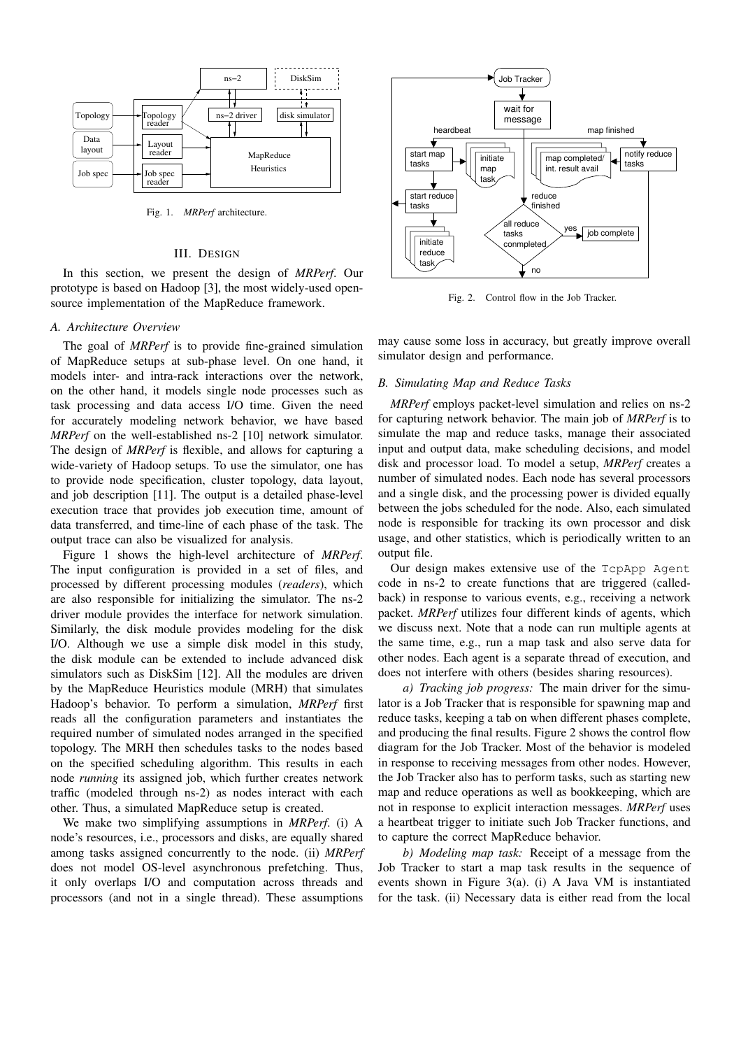

Fig. 1. *MRPerf* architecture.

## III. DESIGN

In this section, we present the design of *MRPerf*. Our prototype is based on Hadoop [3], the most widely-used opensource implementation of the MapReduce framework.

# *A. Architecture Overview*

The goal of *MRPerf* is to provide fine-grained simulation of MapReduce setups at sub-phase level. On one hand, it models inter- and intra-rack interactions over the network, on the other hand, it models single node processes such as task processing and data access I/O time. Given the need for accurately modeling network behavior, we have based *MRPerf* on the well-established ns-2 [10] network simulator. The design of *MRPerf* is flexible, and allows for capturing a wide-variety of Hadoop setups. To use the simulator, one has to provide node specification, cluster topology, data layout, and job description [11]. The output is a detailed phase-level execution trace that provides job execution time, amount of data transferred, and time-line of each phase of the task. The output trace can also be visualized for analysis.

Figure 1 shows the high-level architecture of *MRPerf*. The input configuration is provided in a set of files, and processed by different processing modules (*readers*), which are also responsible for initializing the simulator. The ns-2 driver module provides the interface for network simulation. Similarly, the disk module provides modeling for the disk I/O. Although we use a simple disk model in this study, the disk module can be extended to include advanced disk simulators such as DiskSim [12]. All the modules are driven by the MapReduce Heuristics module (MRH) that simulates Hadoop's behavior. To perform a simulation, *MRPerf* first reads all the configuration parameters and instantiates the required number of simulated nodes arranged in the specified topology. The MRH then schedules tasks to the nodes based on the specified scheduling algorithm. This results in each node *running* its assigned job, which further creates network traffic (modeled through ns-2) as nodes interact with each other. Thus, a simulated MapReduce setup is created.

We make two simplifying assumptions in *MRPerf*. (i) A node's resources, i.e., processors and disks, are equally shared among tasks assigned concurrently to the node. (ii) *MRPerf* does not model OS-level asynchronous prefetching. Thus, it only overlaps I/O and computation across threads and processors (and not in a single thread). These assumptions



Fig. 2. Control flow in the Job Tracker.

may cause some loss in accuracy, but greatly improve overall simulator design and performance.

#### *B. Simulating Map and Reduce Tasks*

*MRPerf* employs packet-level simulation and relies on ns-2 for capturing network behavior. The main job of *MRPerf* is to simulate the map and reduce tasks, manage their associated input and output data, make scheduling decisions, and model disk and processor load. To model a setup, *MRPerf* creates a number of simulated nodes. Each node has several processors and a single disk, and the processing power is divided equally between the jobs scheduled for the node. Also, each simulated node is responsible for tracking its own processor and disk usage, and other statistics, which is periodically written to an output file.

Our design makes extensive use of the TcpApp Agent code in ns-2 to create functions that are triggered (calledback) in response to various events, e.g., receiving a network packet. *MRPerf* utilizes four different kinds of agents, which we discuss next. Note that a node can run multiple agents at the same time, e.g., run a map task and also serve data for other nodes. Each agent is a separate thread of execution, and does not interfere with others (besides sharing resources).

*a) Tracking job progress:* The main driver for the simulator is a Job Tracker that is responsible for spawning map and reduce tasks, keeping a tab on when different phases complete, and producing the final results. Figure 2 shows the control flow diagram for the Job Tracker. Most of the behavior is modeled in response to receiving messages from other nodes. However, the Job Tracker also has to perform tasks, such as starting new map and reduce operations as well as bookkeeping, which are not in response to explicit interaction messages. *MRPerf* uses a heartbeat trigger to initiate such Job Tracker functions, and to capture the correct MapReduce behavior.

*b) Modeling map task:* Receipt of a message from the Job Tracker to start a map task results in the sequence of events shown in Figure 3(a). (i) A Java VM is instantiated for the task. (ii) Necessary data is either read from the local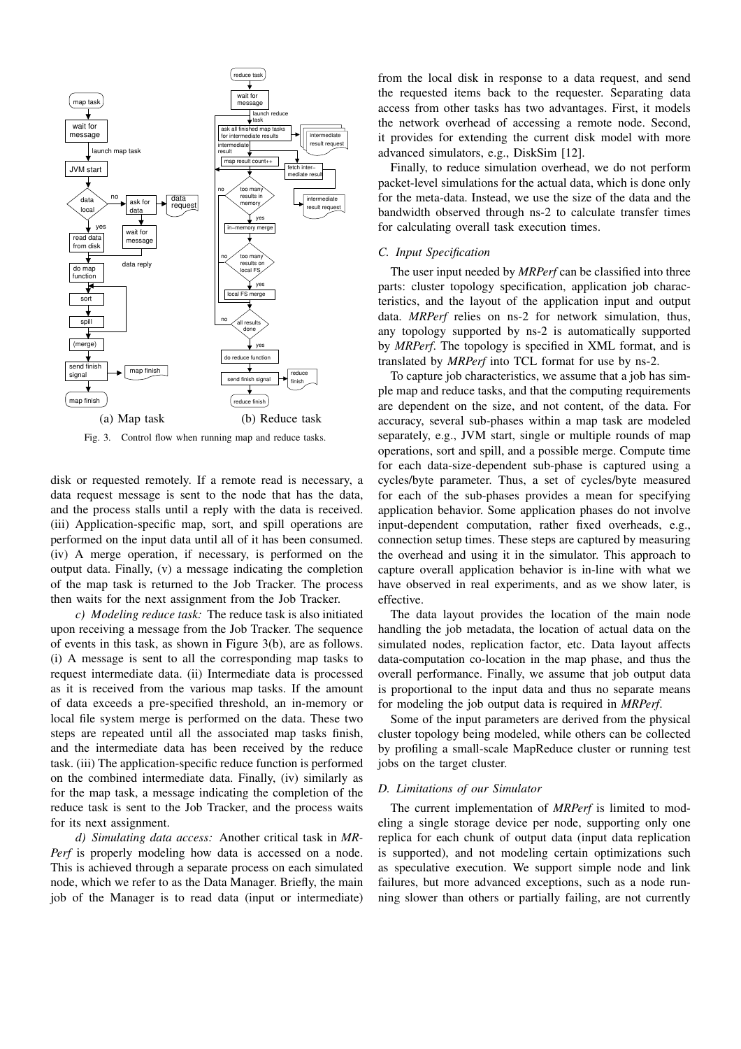

Fig. 3. Control flow when running map and reduce tasks.

disk or requested remotely. If a remote read is necessary, a data request message is sent to the node that has the data, and the process stalls until a reply with the data is received. (iii) Application-specific map, sort, and spill operations are performed on the input data until all of it has been consumed. (iv) A merge operation, if necessary, is performed on the output data. Finally, (v) a message indicating the completion of the map task is returned to the Job Tracker. The process then waits for the next assignment from the Job Tracker.

*c) Modeling reduce task:* The reduce task is also initiated upon receiving a message from the Job Tracker. The sequence of events in this task, as shown in Figure 3(b), are as follows. (i) A message is sent to all the corresponding map tasks to request intermediate data. (ii) Intermediate data is processed as it is received from the various map tasks. If the amount of data exceeds a pre-specified threshold, an in-memory or local file system merge is performed on the data. These two steps are repeated until all the associated map tasks finish, and the intermediate data has been received by the reduce task. (iii) The application-specific reduce function is performed on the combined intermediate data. Finally, (iv) similarly as for the map task, a message indicating the completion of the reduce task is sent to the Job Tracker, and the process waits for its next assignment.

*d) Simulating data access:* Another critical task in *MR-Perf* is properly modeling how data is accessed on a node. This is achieved through a separate process on each simulated node, which we refer to as the Data Manager. Briefly, the main job of the Manager is to read data (input or intermediate) from the local disk in response to a data request, and send the requested items back to the requester. Separating data access from other tasks has two advantages. First, it models the network overhead of accessing a remote node. Second, it provides for extending the current disk model with more advanced simulators, e.g., DiskSim [12].

Finally, to reduce simulation overhead, we do not perform packet-level simulations for the actual data, which is done only for the meta-data. Instead, we use the size of the data and the bandwidth observed through ns-2 to calculate transfer times for calculating overall task execution times.

## *C. Input Specification*

The user input needed by *MRPerf* can be classified into three parts: cluster topology specification, application job characteristics, and the layout of the application input and output data. *MRPerf* relies on ns-2 for network simulation, thus, any topology supported by ns-2 is automatically supported by *MRPerf*. The topology is specified in XML format, and is translated by *MRPerf* into TCL format for use by ns-2.

To capture job characteristics, we assume that a job has simple map and reduce tasks, and that the computing requirements are dependent on the size, and not content, of the data. For accuracy, several sub-phases within a map task are modeled separately, e.g., JVM start, single or multiple rounds of map operations, sort and spill, and a possible merge. Compute time for each data-size-dependent sub-phase is captured using a cycles/byte parameter. Thus, a set of cycles/byte measured for each of the sub-phases provides a mean for specifying application behavior. Some application phases do not involve input-dependent computation, rather fixed overheads, e.g., connection setup times. These steps are captured by measuring the overhead and using it in the simulator. This approach to capture overall application behavior is in-line with what we have observed in real experiments, and as we show later, is effective.

The data layout provides the location of the main node handling the job metadata, the location of actual data on the simulated nodes, replication factor, etc. Data layout affects data-computation co-location in the map phase, and thus the overall performance. Finally, we assume that job output data is proportional to the input data and thus no separate means for modeling the job output data is required in *MRPerf*.

Some of the input parameters are derived from the physical cluster topology being modeled, while others can be collected by profiling a small-scale MapReduce cluster or running test jobs on the target cluster.

### *D. Limitations of our Simulator*

The current implementation of *MRPerf* is limited to modeling a single storage device per node, supporting only one replica for each chunk of output data (input data replication is supported), and not modeling certain optimizations such as speculative execution. We support simple node and link failures, but more advanced exceptions, such as a node running slower than others or partially failing, are not currently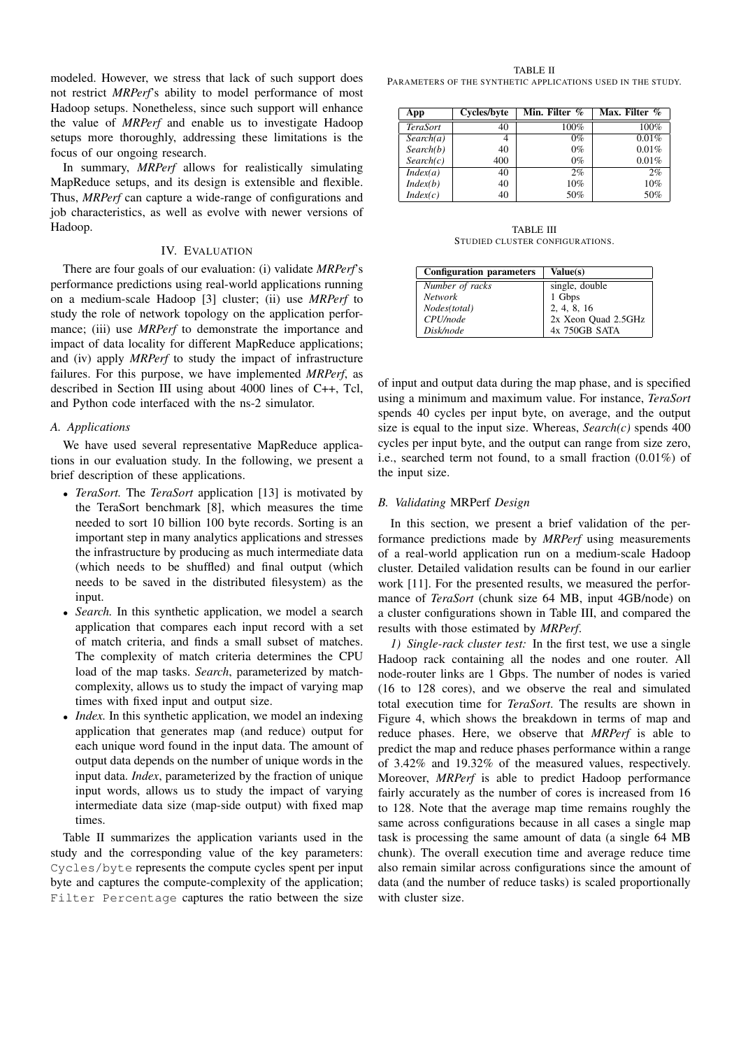modeled. However, we stress that lack of such support does not restrict *MRPerf*'s ability to model performance of most Hadoop setups. Nonetheless, since such support will enhance the value of *MRPerf* and enable us to investigate Hadoop setups more thoroughly, addressing these limitations is the focus of our ongoing research.

In summary, *MRPerf* allows for realistically simulating MapReduce setups, and its design is extensible and flexible. Thus, *MRPerf* can capture a wide-range of configurations and job characteristics, as well as evolve with newer versions of Hadoop.

# IV. EVALUATION

There are four goals of our evaluation: (i) validate *MRPerf*'s performance predictions using real-world applications running on a medium-scale Hadoop [3] cluster; (ii) use *MRPerf* to study the role of network topology on the application performance; (iii) use *MRPerf* to demonstrate the importance and impact of data locality for different MapReduce applications; and (iv) apply *MRPerf* to study the impact of infrastructure failures. For this purpose, we have implemented *MRPerf*, as described in Section III using about 4000 lines of C++, Tcl, and Python code interfaced with the ns-2 simulator.

#### *A. Applications*

We have used several representative MapReduce applications in our evaluation study. In the following, we present a brief description of these applications.

- *TeraSort.* The *TeraSort* application [13] is motivated by the TeraSort benchmark [8], which measures the time needed to sort 10 billion 100 byte records. Sorting is an important step in many analytics applications and stresses the infrastructure by producing as much intermediate data (which needs to be shuffled) and final output (which needs to be saved in the distributed filesystem) as the input.
- Search. In this synthetic application, we model a search application that compares each input record with a set of match criteria, and finds a small subset of matches. The complexity of match criteria determines the CPU load of the map tasks. *Search*, parameterized by matchcomplexity, allows us to study the impact of varying map times with fixed input and output size.
- *Index*. In this synthetic application, we model an indexing application that generates map (and reduce) output for each unique word found in the input data. The amount of output data depends on the number of unique words in the input data. *Index*, parameterized by the fraction of unique input words, allows us to study the impact of varying intermediate data size (map-side output) with fixed map times.

Table II summarizes the application variants used in the study and the corresponding value of the key parameters: Cycles/byte represents the compute cycles spent per input byte and captures the compute-complexity of the application; Filter Percentage captures the ratio between the size

TABLE II PARAMETERS OF THE SYNTHETIC APPLICATIONS USED IN THE STUDY.

| App             | <b>Cycles/byte</b> | Min. Filter % | Max. Filter % |
|-----------------|--------------------|---------------|---------------|
| <b>TeraSort</b> | 40                 | 100%          | 100%          |
| Search(a)       |                    | $0\%$         | 0.01%         |
| Search(b)       | 40                 | $0\%$         | 0.01%         |
| Search(c)       | 400                | $0\%$         | 0.01%         |
| Index(a)        | 40                 | 2%            | 2%            |
| Index(b)        | 40                 | 10%           | 10%           |
| Index(c)        | 40                 | 50%           | 50%           |

TABLE III STUDIED CLUSTER CONFIGURATIONS.

| <b>Configuration parameters</b> | Value(s)            |
|---------------------------------|---------------------|
| Number of racks                 | single, double      |
| <b>Network</b>                  | 1 Gbps              |
| Nodes(total)                    | 2, 4, 8, 16         |
| CPU                             | 2x Xeon Quad 2.5GHz |
| Disk/node                       | 4x 750GB SATA       |

of input and output data during the map phase, and is specified using a minimum and maximum value. For instance, *TeraSort* spends 40 cycles per input byte, on average, and the output size is equal to the input size. Whereas, *Search(c)* spends 400 cycles per input byte, and the output can range from size zero, i.e., searched term not found, to a small fraction (0.01%) of the input size.

# *B. Validating* MRPerf *Design*

In this section, we present a brief validation of the performance predictions made by *MRPerf* using measurements of a real-world application run on a medium-scale Hadoop cluster. Detailed validation results can be found in our earlier work [11]. For the presented results, we measured the performance of *TeraSort* (chunk size 64 MB, input 4GB/node) on a cluster configurations shown in Table III, and compared the results with those estimated by *MRPerf*.

*1) Single-rack cluster test:* In the first test, we use a single Hadoop rack containing all the nodes and one router. All node-router links are 1 Gbps. The number of nodes is varied (16 to 128 cores), and we observe the real and simulated total execution time for *TeraSort*. The results are shown in Figure 4, which shows the breakdown in terms of map and reduce phases. Here, we observe that *MRPerf* is able to predict the map and reduce phases performance within a range of 3.42% and 19.32% of the measured values, respectively. Moreover, *MRPerf* is able to predict Hadoop performance fairly accurately as the number of cores is increased from 16 to 128. Note that the average map time remains roughly the same across configurations because in all cases a single map task is processing the same amount of data (a single 64 MB chunk). The overall execution time and average reduce time also remain similar across configurations since the amount of data (and the number of reduce tasks) is scaled proportionally with cluster size.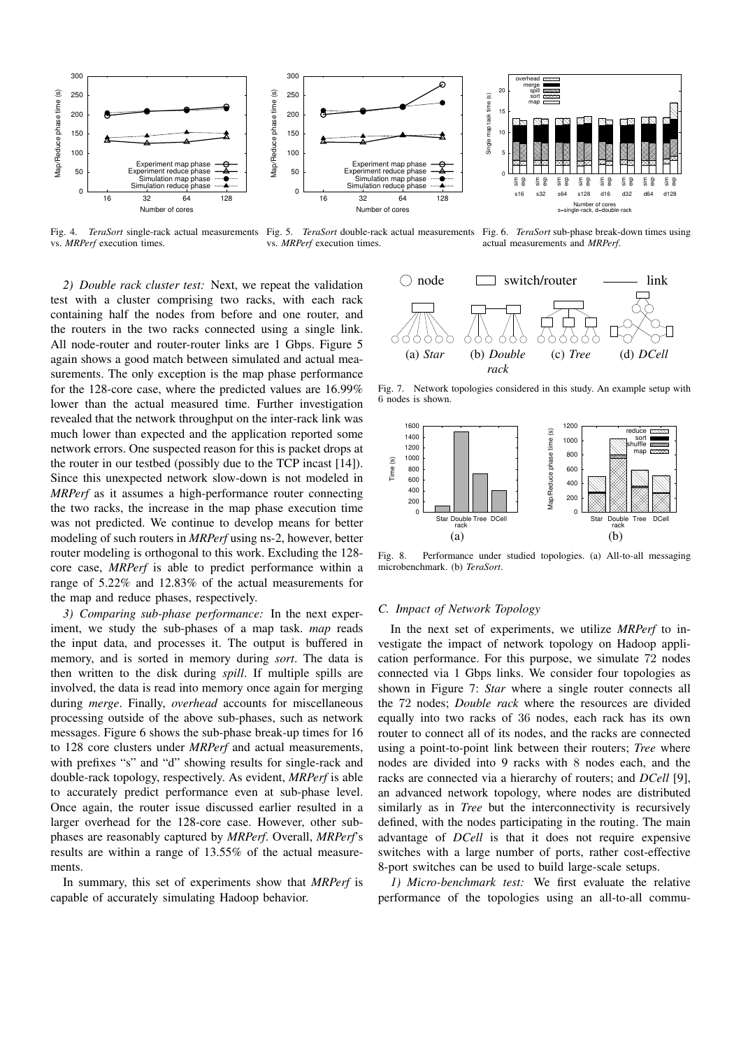

Fig. 4. *TeraSort* single-rack actual measurements vs. *MRPerf* execution times. Fig. 5. *TeraSort* double-rack actual measurements vs. *MRPerf* execution times.

Fig. 6. *TeraSort* sub-phase break-down times using actual measurements and *MRPerf*.

*2) Double rack cluster test:* Next, we repeat the validation test with a cluster comprising two racks, with each rack containing half the nodes from before and one router, and the routers in the two racks connected using a single link. All node-router and router-router links are 1 Gbps. Figure 5 again shows a good match between simulated and actual measurements. The only exception is the map phase performance for the 128-core case, where the predicted values are 16.99% lower than the actual measured time. Further investigation revealed that the network throughput on the inter-rack link was much lower than expected and the application reported some network errors. One suspected reason for this is packet drops at the router in our testbed (possibly due to the TCP incast [14]). Since this unexpected network slow-down is not modeled in *MRPerf* as it assumes a high-performance router connecting the two racks, the increase in the map phase execution time was not predicted. We continue to develop means for better modeling of such routers in *MRPerf* using ns-2, however, better router modeling is orthogonal to this work. Excluding the 128 core case, *MRPerf* is able to predict performance within a range of 5.22% and 12.83% of the actual measurements for the map and reduce phases, respectively.

*3) Comparing sub-phase performance:* In the next experiment, we study the sub-phases of a map task. *map* reads the input data, and processes it. The output is buffered in memory, and is sorted in memory during *sort*. The data is then written to the disk during *spill*. If multiple spills are involved, the data is read into memory once again for merging during *merge*. Finally, *overhead* accounts for miscellaneous processing outside of the above sub-phases, such as network messages. Figure 6 shows the sub-phase break-up times for 16 to 128 core clusters under *MRPerf* and actual measurements, with prefixes "s" and "d" showing results for single-rack and double-rack topology, respectively. As evident, *MRPerf* is able to accurately predict performance even at sub-phase level. Once again, the router issue discussed earlier resulted in a larger overhead for the 128-core case. However, other subphases are reasonably captured by *MRPerf*. Overall, *MRPerf*'s results are within a range of 13.55% of the actual measurements.

In summary, this set of experiments show that *MRPerf* is capable of accurately simulating Hadoop behavior.



Fig. 7. Network topologies considered in this study. An example setup with 6 nodes is shown.



Fig. 8. Performance under studied topologies. (a) All-to-all messaging microbenchmark. (b) *TeraSort*.

# *C. Impact of Network Topology*

In the next set of experiments, we utilize *MRPerf* to investigate the impact of network topology on Hadoop application performance. For this purpose, we simulate 72 nodes connected via 1 Gbps links. We consider four topologies as shown in Figure 7: *Star* where a single router connects all the 72 nodes; *Double rack* where the resources are divided equally into two racks of 36 nodes, each rack has its own router to connect all of its nodes, and the racks are connected using a point-to-point link between their routers; *Tree* where nodes are divided into 9 racks with 8 nodes each, and the racks are connected via a hierarchy of routers; and *DCell* [9], an advanced network topology, where nodes are distributed similarly as in *Tree* but the interconnectivity is recursively defined, with the nodes participating in the routing. The main advantage of *DCell* is that it does not require expensive switches with a large number of ports, rather cost-effective 8-port switches can be used to build large-scale setups.

*1) Micro-benchmark test:* We first evaluate the relative performance of the topologies using an all-to-all commu-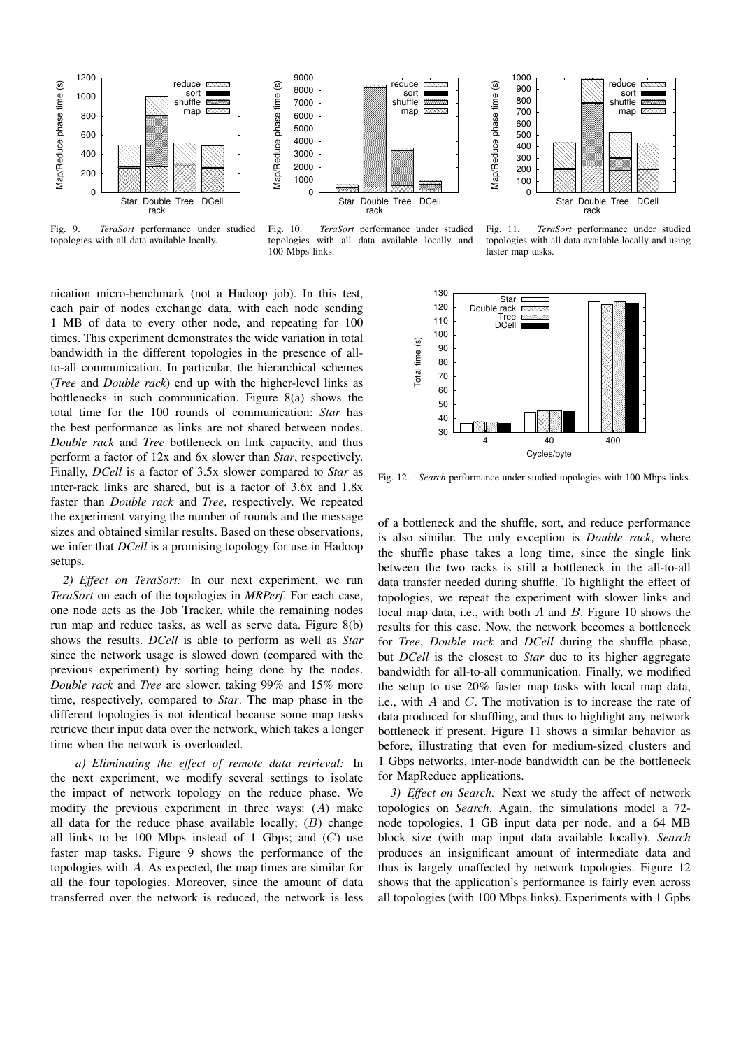

Fig. 9. *TeraSort* performance under studied topologies with all data available locally.



Fig. 10. *TeraSort* performance under studied topologies with all data available locally and 100 Mbps links.



Fig. 11. *TeraSort* performance under studied topologies with all data available locally and using faster map tasks.

nication micro-benchmark (not a Hadoop job). In this test, each pair of nodes exchange data, with each node sending 1 MB of data to every other node, and repeating for 100 times. This experiment demonstrates the wide variation in total bandwidth in the different topologies in the presence of allto-all communication. In particular, the hierarchical schemes (*Tree* and *Double rack*) end up with the higher-level links as bottlenecks in such communication. Figure 8(a) shows the total time for the 100 rounds of communication: *Star* has the best performance as links are not shared between nodes. *Double rack* and *Tree* bottleneck on link capacity, and thus perform a factor of 12x and 6x slower than *Star*, respectively. Finally, *DCell* is a factor of 3.5x slower compared to *Star* as inter-rack links are shared, but is a factor of 3.6x and 1.8x faster than *Double rack* and *Tree*, respectively. We repeated the experiment varying the number of rounds and the message sizes and obtained similar results. Based on these observations, we infer that *DCell* is a promising topology for use in Hadoop setups.

*2) Effect on TeraSort:* In our next experiment, we run *TeraSort* on each of the topologies in *MRPerf*. For each case, one node acts as the Job Tracker, while the remaining nodes run map and reduce tasks, as well as serve data. Figure 8(b) shows the results. *DCell* is able to perform as well as *Star* since the network usage is slowed down (compared with the previous experiment) by sorting being done by the nodes. *Double rack* and *Tree* are slower, taking 99% and 15% more time, respectively, compared to *Star*. The map phase in the different topologies is not identical because some map tasks retrieve their input data over the network, which takes a longer time when the network is overloaded.

*a) Eliminating the effect of remote data retrieval:* In the next experiment, we modify several settings to isolate the impact of network topology on the reduce phase. We modify the previous experiment in three ways:  $(A)$  make all data for the reduce phase available locally;  $(B)$  change all links to be 100 Mbps instead of 1 Gbps; and  $(C)$  use faster map tasks. Figure 9 shows the performance of the topologies with A. As expected, the map times are similar for all the four topologies. Moreover, since the amount of data transferred over the network is reduced, the network is less



Fig. 12. *Search* performance under studied topologies with 100 Mbps links.

of a bottleneck and the shuffle, sort, and reduce performance is also similar. The only exception is *Double rack*, where the shuffle phase takes a long time, since the single link between the two racks is still a bottleneck in the all-to-all data transfer needed during shuffle. To highlight the effect of topologies, we repeat the experiment with slower links and local map data, i.e., with both  $A$  and  $B$ . Figure 10 shows the results for this case. Now, the network becomes a bottleneck for *Tree*, *Double rack* and *DCell* during the shuffle phase, but *DCell* is the closest to *Star* due to its higher aggregate bandwidth for all-to-all communication. Finally, we modified the setup to use 20% faster map tasks with local map data, i.e., with A and C. The motivation is to increase the rate of data produced for shuffling, and thus to highlight any network bottleneck if present. Figure 11 shows a similar behavior as before, illustrating that even for medium-sized clusters and 1 Gbps networks, inter-node bandwidth can be the bottleneck for MapReduce applications.

*3) Effect on Search:* Next we study the affect of network topologies on *Search*. Again, the simulations model a 72 node topologies, 1 GB input data per node, and a 64 MB block size (with map input data available locally). *Search* produces an insignificant amount of intermediate data and thus is largely unaffected by network topologies. Figure 12 shows that the application's performance is fairly even across all topologies (with 100 Mbps links). Experiments with 1 Gpbs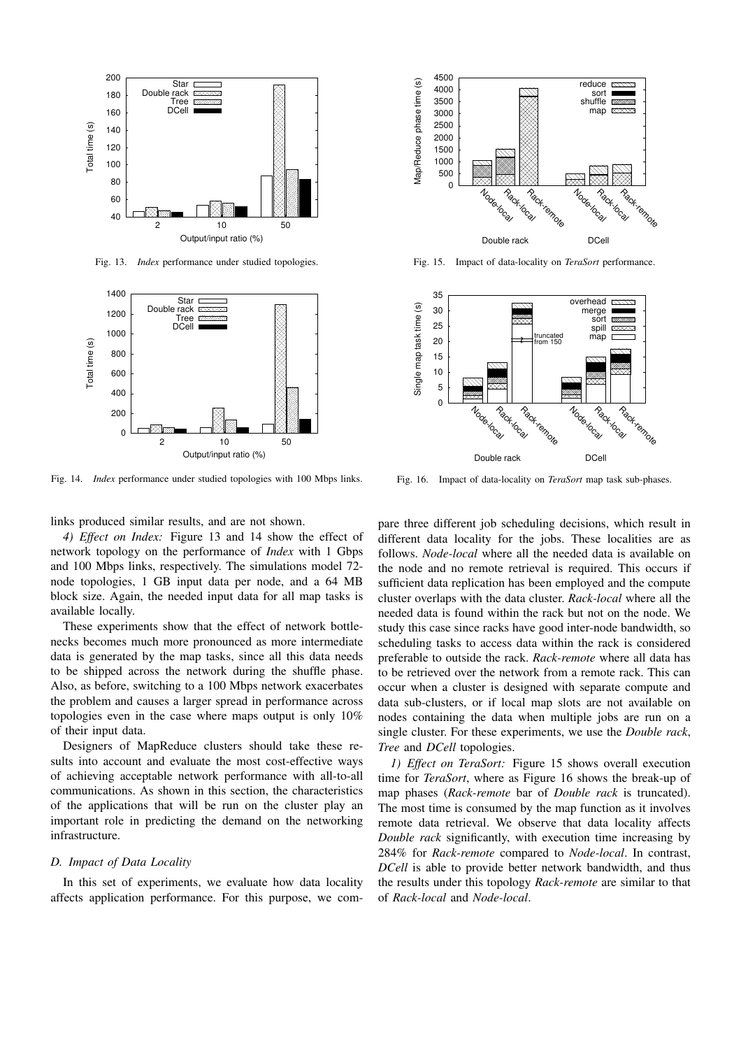

Fig. 13. *Index* performance under studied topologies.



Fig. 14. *Index* performance under studied topologies with 100 Mbps links.



Fig. 15. Impact of data-locality on *TeraSort* performance.



Fig. 16. Impact of data-locality on *TeraSort* map task sub-phases.

links produced similar results, and are not shown.

*4) Effect on Index:* Figure 13 and 14 show the effect of network topology on the performance of *Index* with 1 Gbps and 100 Mbps links, respectively. The simulations model 72 node topologies, 1 GB input data per node, and a 64 MB block size. Again, the needed input data for all map tasks is available locally.

These experiments show that the effect of network bottlenecks becomes much more pronounced as more intermediate data is generated by the map tasks, since all this data needs to be shipped across the network during the shuffle phase. Also, as before, switching to a 100 Mbps network exacerbates the problem and causes a larger spread in performance across topologies even in the case where maps output is only 10% of their input data.

Designers of MapReduce clusters should take these results into account and evaluate the most cost-effective ways of achieving acceptable network performance with all-to-all communications. As shown in this section, the characteristics of the applications that will be run on the cluster play an important role in predicting the demand on the networking infrastructure.

#### *D. Impact of Data Locality*

In this set of experiments, we evaluate how data locality affects application performance. For this purpose, we compare three different job scheduling decisions, which result in different data locality for the jobs. These localities are as follows. *Node-local* where all the needed data is available on the node and no remote retrieval is required. This occurs if sufficient data replication has been employed and the compute cluster overlaps with the data cluster. *Rack-local* where all the needed data is found within the rack but not on the node. We study this case since racks have good inter-node bandwidth, so scheduling tasks to access data within the rack is considered preferable to outside the rack. *Rack-remote* where all data has to be retrieved over the network from a remote rack. This can occur when a cluster is designed with separate compute and data sub-clusters, or if local map slots are not available on nodes containing the data when multiple jobs are run on a single cluster. For these experiments, we use the *Double rack*, *Tree* and *DCell* topologies.

*1) Effect on TeraSort:* Figure 15 shows overall execution time for *TeraSort*, where as Figure 16 shows the break-up of map phases (*Rack-remote* bar of *Double rack* is truncated). The most time is consumed by the map function as it involves remote data retrieval. We observe that data locality affects *Double rack* significantly, with execution time increasing by 284% for *Rack-remote* compared to *Node-local*. In contrast, *DCell* is able to provide better network bandwidth, and thus the results under this topology *Rack-remote* are similar to that of *Rack-local* and *Node-local*.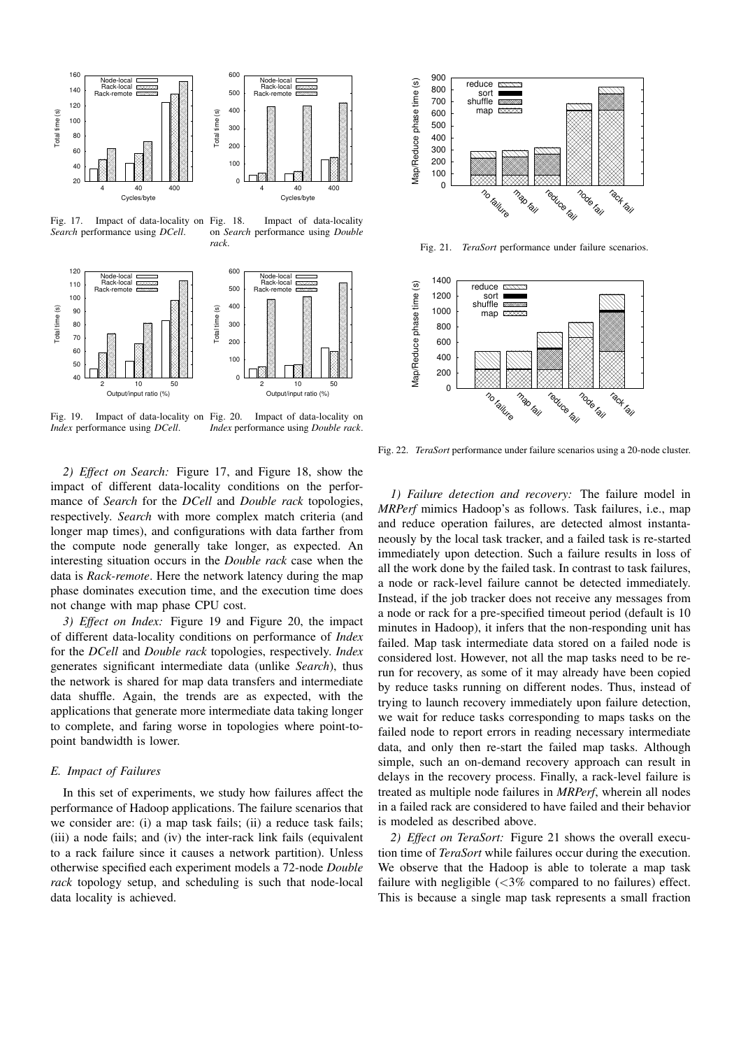

Fig. 17. Impact of data-locality on Fig. 18. *Search* performance using *DCell*. Impact of data-locality on *Search* performance using *Double rack*.



Fig. 19. Impact of data-locality on Fig. 20. *Index* performance using *DCell*. Impact of data-locality on *Index* performance using *Double rack*.

*2) Effect on Search:* Figure 17, and Figure 18, show the impact of different data-locality conditions on the performance of *Search* for the *DCell* and *Double rack* topologies, respectively. *Search* with more complex match criteria (and longer map times), and configurations with data farther from the compute node generally take longer, as expected. An interesting situation occurs in the *Double rack* case when the data is *Rack-remote*. Here the network latency during the map phase dominates execution time, and the execution time does not change with map phase CPU cost.

*3) Effect on Index:* Figure 19 and Figure 20, the impact of different data-locality conditions on performance of *Index* for the *DCell* and *Double rack* topologies, respectively. *Index* generates significant intermediate data (unlike *Search*), thus the network is shared for map data transfers and intermediate data shuffle. Again, the trends are as expected, with the applications that generate more intermediate data taking longer to complete, and faring worse in topologies where point-topoint bandwidth is lower.

# *E. Impact of Failures*

In this set of experiments, we study how failures affect the performance of Hadoop applications. The failure scenarios that we consider are: (i) a map task fails; (ii) a reduce task fails; (iii) a node fails; and (iv) the inter-rack link fails (equivalent to a rack failure since it causes a network partition). Unless otherwise specified each experiment models a 72-node *Double rack* topology setup, and scheduling is such that node-local data locality is achieved.



Fig. 21. *TeraSort* performance under failure scenarios.



Fig. 22. *TeraSort* performance under failure scenarios using a 20-node cluster.

*1) Failure detection and recovery:* The failure model in *MRPerf* mimics Hadoop's as follows. Task failures, i.e., map and reduce operation failures, are detected almost instantaneously by the local task tracker, and a failed task is re-started immediately upon detection. Such a failure results in loss of all the work done by the failed task. In contrast to task failures, a node or rack-level failure cannot be detected immediately. Instead, if the job tracker does not receive any messages from a node or rack for a pre-specified timeout period (default is 10 minutes in Hadoop), it infers that the non-responding unit has failed. Map task intermediate data stored on a failed node is considered lost. However, not all the map tasks need to be rerun for recovery, as some of it may already have been copied by reduce tasks running on different nodes. Thus, instead of trying to launch recovery immediately upon failure detection, we wait for reduce tasks corresponding to maps tasks on the failed node to report errors in reading necessary intermediate data, and only then re-start the failed map tasks. Although simple, such an on-demand recovery approach can result in delays in the recovery process. Finally, a rack-level failure is treated as multiple node failures in *MRPerf*, wherein all nodes in a failed rack are considered to have failed and their behavior is modeled as described above.

*2) Effect on TeraSort:* Figure 21 shows the overall execution time of *TeraSort* while failures occur during the execution. We observe that the Hadoop is able to tolerate a map task failure with negligible  $\langle$ <3% compared to no failures) effect. This is because a single map task represents a small fraction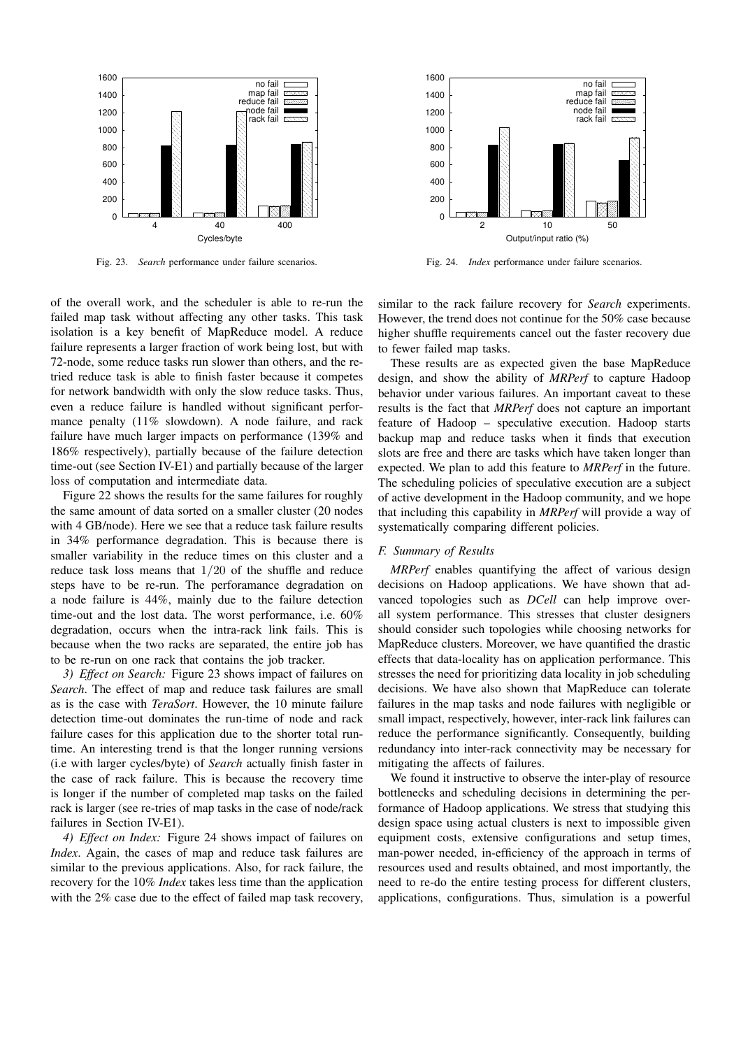

Fig. 23. *Search* performance under failure scenarios.

of the overall work, and the scheduler is able to re-run the failed map task without affecting any other tasks. This task isolation is a key benefit of MapReduce model. A reduce failure represents a larger fraction of work being lost, but with 72-node, some reduce tasks run slower than others, and the retried reduce task is able to finish faster because it competes for network bandwidth with only the slow reduce tasks. Thus, even a reduce failure is handled without significant performance penalty (11% slowdown). A node failure, and rack failure have much larger impacts on performance (139% and 186% respectively), partially because of the failure detection time-out (see Section IV-E1) and partially because of the larger loss of computation and intermediate data.

Figure 22 shows the results for the same failures for roughly the same amount of data sorted on a smaller cluster (20 nodes with 4 GB/node). Here we see that a reduce task failure results in 34% performance degradation. This is because there is smaller variability in the reduce times on this cluster and a reduce task loss means that 1/20 of the shuffle and reduce steps have to be re-run. The perforamance degradation on a node failure is 44%, mainly due to the failure detection time-out and the lost data. The worst performance, i.e. 60% degradation, occurs when the intra-rack link fails. This is because when the two racks are separated, the entire job has to be re-run on one rack that contains the job tracker.

*3) Effect on Search:* Figure 23 shows impact of failures on *Search*. The effect of map and reduce task failures are small as is the case with *TeraSort*. However, the 10 minute failure detection time-out dominates the run-time of node and rack failure cases for this application due to the shorter total runtime. An interesting trend is that the longer running versions (i.e with larger cycles/byte) of *Search* actually finish faster in the case of rack failure. This is because the recovery time is longer if the number of completed map tasks on the failed rack is larger (see re-tries of map tasks in the case of node/rack failures in Section IV-E1).

*4) Effect on Index:* Figure 24 shows impact of failures on *Index*. Again, the cases of map and reduce task failures are similar to the previous applications. Also, for rack failure, the recovery for the 10% *Index* takes less time than the application with the 2% case due to the effect of failed map task recovery,



Fig. 24. *Index* performance under failure scenarios.

similar to the rack failure recovery for *Search* experiments. However, the trend does not continue for the 50% case because higher shuffle requirements cancel out the faster recovery due to fewer failed map tasks.

These results are as expected given the base MapReduce design, and show the ability of *MRPerf* to capture Hadoop behavior under various failures. An important caveat to these results is the fact that *MRPerf* does not capture an important feature of Hadoop – speculative execution. Hadoop starts backup map and reduce tasks when it finds that execution slots are free and there are tasks which have taken longer than expected. We plan to add this feature to *MRPerf* in the future. The scheduling policies of speculative execution are a subject of active development in the Hadoop community, and we hope that including this capability in *MRPerf* will provide a way of systematically comparing different policies.

# *F. Summary of Results*

*MRPerf* enables quantifying the affect of various design decisions on Hadoop applications. We have shown that advanced topologies such as *DCell* can help improve overall system performance. This stresses that cluster designers should consider such topologies while choosing networks for MapReduce clusters. Moreover, we have quantified the drastic effects that data-locality has on application performance. This stresses the need for prioritizing data locality in job scheduling decisions. We have also shown that MapReduce can tolerate failures in the map tasks and node failures with negligible or small impact, respectively, however, inter-rack link failures can reduce the performance significantly. Consequently, building redundancy into inter-rack connectivity may be necessary for mitigating the affects of failures.

We found it instructive to observe the inter-play of resource bottlenecks and scheduling decisions in determining the performance of Hadoop applications. We stress that studying this design space using actual clusters is next to impossible given equipment costs, extensive configurations and setup times, man-power needed, in-efficiency of the approach in terms of resources used and results obtained, and most importantly, the need to re-do the entire testing process for different clusters, applications, configurations. Thus, simulation is a powerful